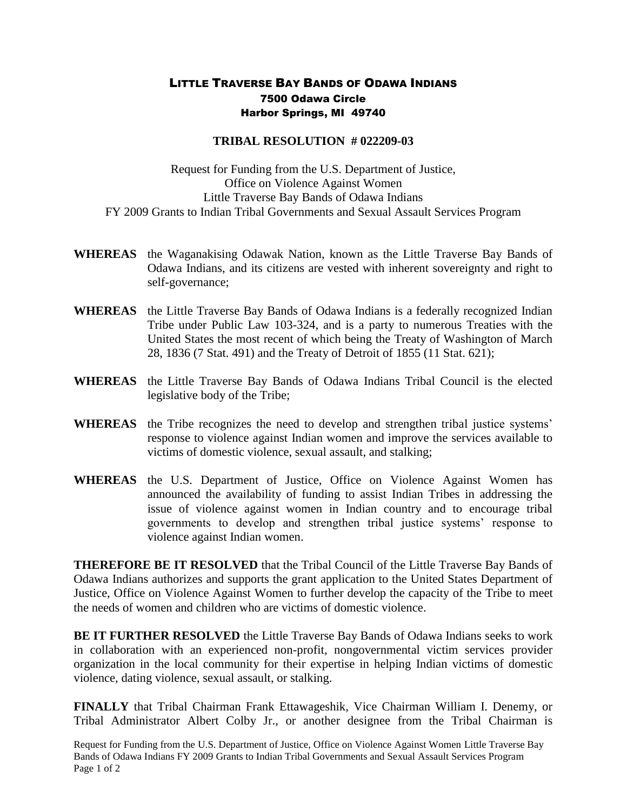## LITTLE TRAVERSE BAY BANDS OF ODAWA INDIANS 7500 Odawa Circle Harbor Springs, MI 49740

## **TRIBAL RESOLUTION # 022209-03**

Request for Funding from the U.S. Department of Justice, Office on Violence Against Women Little Traverse Bay Bands of Odawa Indians FY 2009 Grants to Indian Tribal Governments and Sexual Assault Services Program

- **WHEREAS** the Waganakising Odawak Nation, known as the Little Traverse Bay Bands of Odawa Indians, and its citizens are vested with inherent sovereignty and right to self-governance;
- **WHEREAS** the Little Traverse Bay Bands of Odawa Indians is a federally recognized Indian Tribe under Public Law 103-324, and is a party to numerous Treaties with the United States the most recent of which being the Treaty of Washington of March 28, 1836 (7 Stat. 491) and the Treaty of Detroit of 1855 (11 Stat. 621);
- **WHEREAS** the Little Traverse Bay Bands of Odawa Indians Tribal Council is the elected legislative body of the Tribe;
- **WHEREAS** the Tribe recognizes the need to develop and strengthen tribal justice systems' response to violence against Indian women and improve the services available to victims of domestic violence, sexual assault, and stalking;
- **WHEREAS** the U.S. Department of Justice, Office on Violence Against Women has announced the availability of funding to assist Indian Tribes in addressing the issue of violence against women in Indian country and to encourage tribal governments to develop and strengthen tribal justice systems' response to violence against Indian women.

**THEREFORE BE IT RESOLVED** that the Tribal Council of the Little Traverse Bay Bands of Odawa Indians authorizes and supports the grant application to the United States Department of Justice, Office on Violence Against Women to further develop the capacity of the Tribe to meet the needs of women and children who are victims of domestic violence.

**BE IT FURTHER RESOLVED** the Little Traverse Bay Bands of Odawa Indians seeks to work in collaboration with an experienced non-profit, nongovernmental victim services provider organization in the local community for their expertise in helping Indian victims of domestic violence, dating violence, sexual assault, or stalking.

**FINALLY** that Tribal Chairman Frank Ettawageshik, Vice Chairman William I. Denemy, or Tribal Administrator Albert Colby Jr., or another designee from the Tribal Chairman is

Request for Funding from the U.S. Department of Justice, Office on Violence Against Women Little Traverse Bay Bands of Odawa Indians FY 2009 Grants to Indian Tribal Governments and Sexual Assault Services Program Page 1 of 2